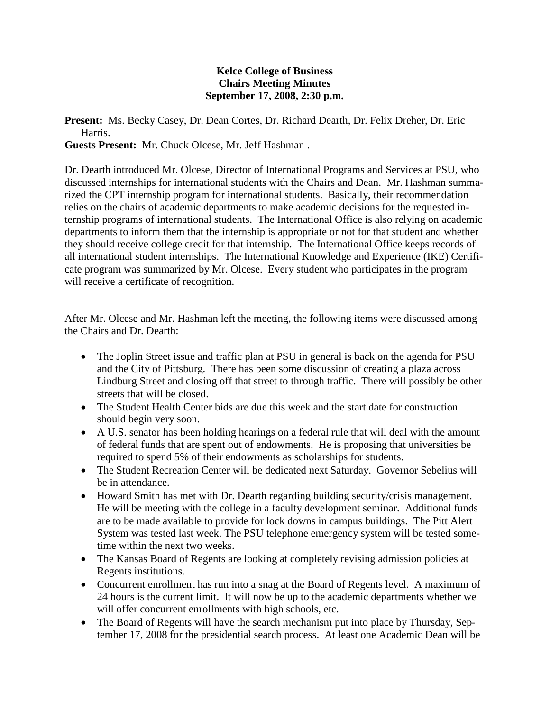## **Kelce College of Business Chairs Meeting Minutes September 17, 2008, 2:30 p.m.**

**Present:** Ms. Becky Casey, Dr. Dean Cortes, Dr. Richard Dearth, Dr. Felix Dreher, Dr. Eric Harris.

**Guests Present:** Mr. Chuck Olcese, Mr. Jeff Hashman .

Dr. Dearth introduced Mr. Olcese, Director of International Programs and Services at PSU, who discussed internships for international students with the Chairs and Dean. Mr. Hashman summarized the CPT internship program for international students. Basically, their recommendation relies on the chairs of academic departments to make academic decisions for the requested internship programs of international students. The International Office is also relying on academic departments to inform them that the internship is appropriate or not for that student and whether they should receive college credit for that internship. The International Office keeps records of all international student internships. The International Knowledge and Experience (IKE) Certificate program was summarized by Mr. Olcese. Every student who participates in the program will receive a certificate of recognition.

After Mr. Olcese and Mr. Hashman left the meeting, the following items were discussed among the Chairs and Dr. Dearth:

- The Joplin Street issue and traffic plan at PSU in general is back on the agenda for PSU and the City of Pittsburg. There has been some discussion of creating a plaza across Lindburg Street and closing off that street to through traffic. There will possibly be other streets that will be closed.
- The Student Health Center bids are due this week and the start date for construction should begin very soon.
- A U.S. senator has been holding hearings on a federal rule that will deal with the amount of federal funds that are spent out of endowments. He is proposing that universities be required to spend 5% of their endowments as scholarships for students.
- The Student Recreation Center will be dedicated next Saturday. Governor Sebelius will be in attendance.
- Howard Smith has met with Dr. Dearth regarding building security/crisis management. He will be meeting with the college in a faculty development seminar. Additional funds are to be made available to provide for lock downs in campus buildings. The Pitt Alert System was tested last week. The PSU telephone emergency system will be tested sometime within the next two weeks.
- The Kansas Board of Regents are looking at completely revising admission policies at Regents institutions.
- Concurrent enrollment has run into a snag at the Board of Regents level. A maximum of 24 hours is the current limit. It will now be up to the academic departments whether we will offer concurrent enrollments with high schools, etc.
- The Board of Regents will have the search mechanism put into place by Thursday, September 17, 2008 for the presidential search process. At least one Academic Dean will be